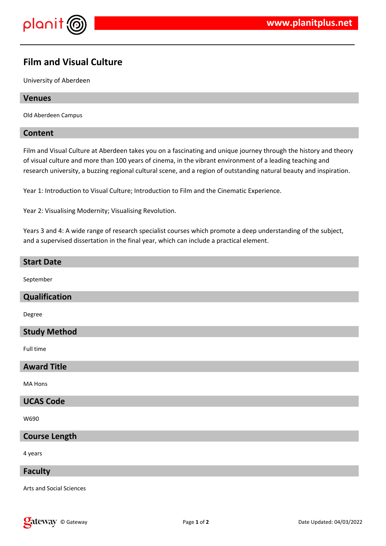

# **Film and Visual Culture**

University of Aberdeen

## **Venues**

Old Aberdeen Campus

## **Content**

Film and Visual Culture at Aberdeen takes you on a fascinating and unique journey through the history and theory of visual culture and more than 100 years of cinema, in the vibrant environment of a leading teaching and research university, a buzzing regional cultural scene, and a region of outstanding natural beauty and inspiration.

Year 1: Introduction to Visual Culture; Introduction to Film and the Cinematic Experience.

Year 2: Visualising Modernity; Visualising Revolution.

Years 3 and 4: A wide range of research specialist courses which promote a deep understanding of the subject, and a supervised dissertation in the final year, which can include a practical element.

## **Start Date**

September

# **Qualification**

Degree

# **Study Method**

Full time

## **Award Title**

MA Hons

# **UCAS Code**

W690

# **Course Length**

4 years

#### **Faculty**

Arts and Social Sciences